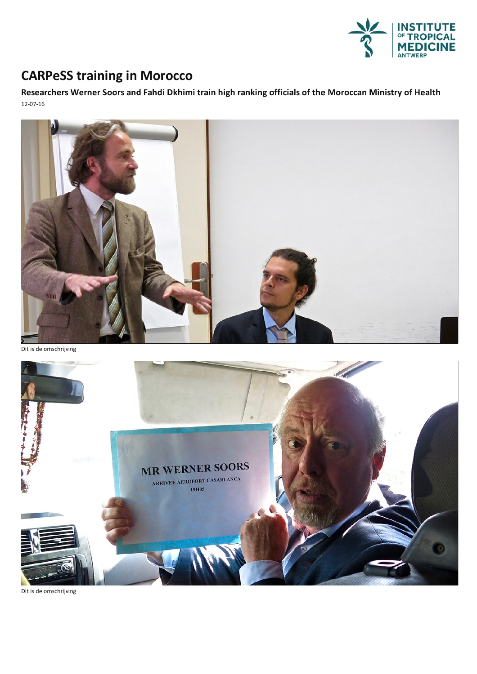

## **CARPeSS training in Morocco**

**Researchers WernerSoors and Fahdi Dkhimi train high ranking officials of the Moroccan Ministry of Health** 12-07-16



Dit is de omschrijving



Dit is de omschrijving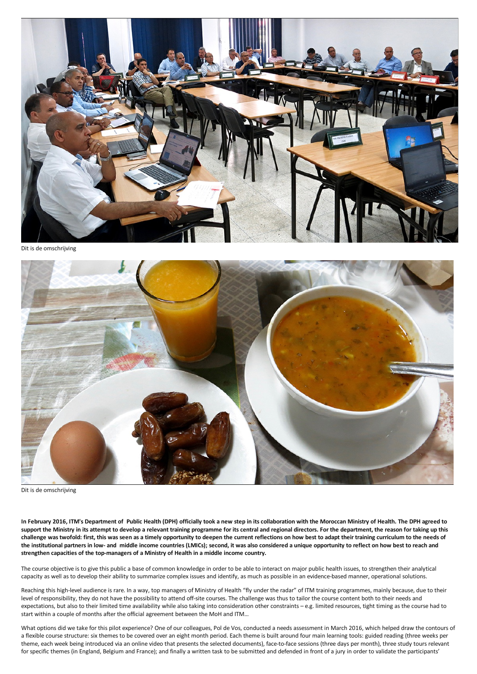

Dit is de omschrijving



Dit is de omschrijving

In February 2016, ITM's Department of Public Health (DPH) officially took a new step in its collaboration with the Moroccan Ministry of Health. The DPH agreed to support the Ministry in its attempt to develop a relevant training programme for its central and regional directors. For the department, the reason for taking up this challenge was twofold: first, this was seen as a timely opportunity to deepen the current reflections on how best to adapt their training curriculum to the needs of the institutional partners in low- and middle income countries (LMICs); second, it was also considered a unique opportunity to reflect on how best to reach and **strengthen capacities of the top-managers of a Ministry of Health in a middle income country.**

The course objective is to give this public a base of common knowledge in order to be able to interact on major public health issues, to strengthen their analytical capacity as well as to develop their ability to summarize complex issues and identify, as much as possible in an evidence-based manner, operational solutions.

Reaching this high-level audience is rare. In a way, top managers of Ministry of Health "fly under the radar" of ITM training programmes, mainly because, due to their level of responsibility, they do not have the possibility to attend off-site courses. The challenge was thus to tailor the course content both to their needs and expectations, but also to their limited time availability while also taking into consideration other constraints – e.g. limited resources, tight timing as the course had to start within a couple of months after the official agreement between the MoH and ITM...

What options did we take for this pilot experience? One of our colleagues, Pol de Vos, conducted a needs assessment in March 2016, which helped draw the contours of a flexible course structure: six themes to be covered over an eight month period. Each theme is built around four main learning tools: guided reading (three weeks per theme, each week being introduced viaan online video that presents the selected documents), face-to-face sessions (three days per month), three study tours relevant for specific themes (in England, Belgium and France); and finally a written task to be submitted and defended in front of a jury in order to validate the participants'